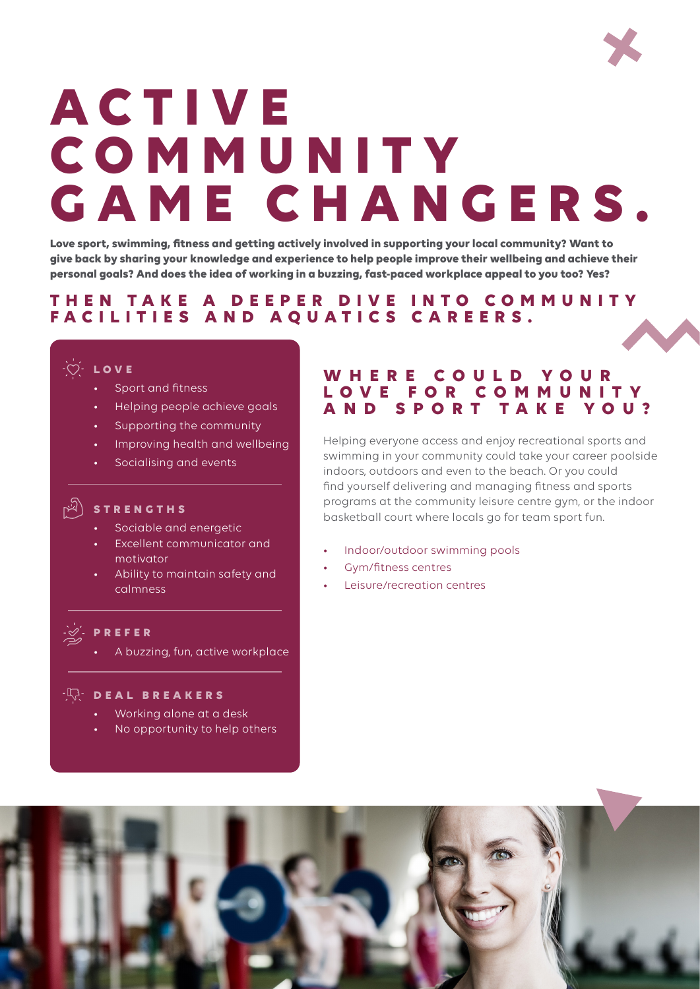

# **A C T I V E C O M M U N I T Y GAME CHANGERS.**

**Love sport, swimming, fitness and getting actively involved in supporting your local community? Want to give back by sharing your knowledge and experience to help people improve their wellbeing and achieve their personal goals? And does the idea of working in a buzzing, fast-paced workplace appeal to you too? Yes?** 

# **T H E N T A K E A D E E P E R D I V E I N T O C O M M U N I T Y FACILITIES AND AQUATICS CAREERS.**

### $\overleftrightarrow{C}$  **LOVE**

- Sport and fitness
- Helping people achieve goals
- Supporting the community
- Improving health and wellbeing
- Socialising and events

# **STRENGTHS**

- Sociable and energetic
- Excellent communicator and motivator
- Ability to maintain safety and calmness

#### **PREFER**

• A buzzing, fun, active workplace

#### **DEAL BREAKERS**

- Working alone at a desk
- No opportunity to help others

# WHERE COULD YOUR **L O V E F O R C O M M U N I T Y AND SPORT TAKE YOU?**

Helping everyone access and enjoy recreational sports and swimming in your community could take your career poolside indoors, outdoors and even to the beach. Or you could find yourself delivering and managing fitness and sports programs at the community leisure centre gym, or the indoor basketball court where locals go for team sport fun.

- Indoor/outdoor swimming pools
- Gym/fitness centres
- Leisure/recreation centres